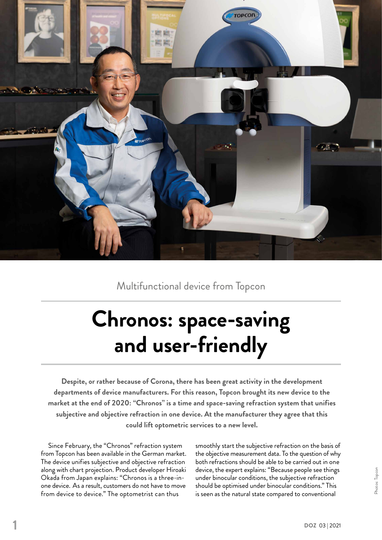

Multifunctional device from Topcon

## **Chronos: space-saving and user-friendly**

**Despite, or rather because of Corona, there has been great activity in the development departments of device manufacturers. For this reason, Topcon brought its new device to the market at the end of 2020: "Chronos" is a time and space-saving refraction system that unifies subjective and objective refraction in one device. At the manufacturer they agree that this could lift optometric services to a new level.**

Since February, the "Chronos" refraction system from Topcon has been available in the German market. The device unifies subjective and objective refraction along with chart projection. Product developer Hiroaki Okada from Japan explains: "Chronos is a three-inone device. As a result, customers do not have to move from device to device." The optometrist can thus

smoothly start the subjective refraction on the basis of the objective measurement data. To the question of why both refractions should be able to be carried out in one device, the expert explains: "Because people see things under binocular conditions, the subjective refraction should be optimised under binocular conditions." This is seen as the natural state compared to conventional